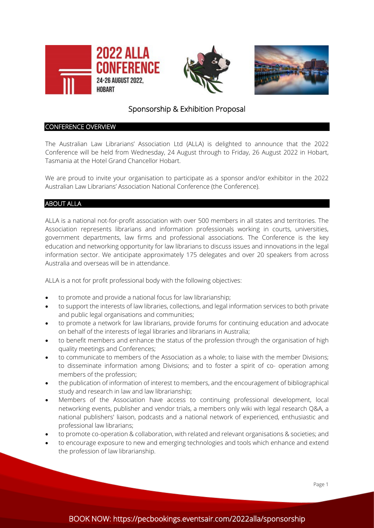





# Sponsorship & Exhibition Proposal

## CONFERENCE OVERVIEW

The Australian Law Librarians' Association Ltd (ALLA) is delighted to announce that the 2022 Conference will be held from Wednesday, 24 August through to Friday, 26 August 2022 in Hobart, Tasmania at the Hotel Grand Chancellor Hobart.

We are proud to invite your organisation to participate as a sponsor and/or exhibitor in the 2022 Australian Law Librarians' Association National Conference (the Conference).

## ABOUT ALLA

ALLA is a national not-for-profit association with over 500 members in all states and territories. The Association represents librarians and information professionals working in courts, universities, government departments, law firms and professional associations. The Conference is the key education and networking opportunity for law librarians to discuss issues and innovations in the legal information sector. We anticipate approximately 175 delegates and over 20 speakers from across Australia and overseas will be in attendance.

ALLA is a not for profit professional body with the following objectives:

- to promote and provide a national focus for law librarianship;
- to support the interests of law libraries, collections, and legal information services to both private and public legal organisations and communities;
- to promote a network for law librarians, provide forums for continuing education and advocate on behalf of the interests of legal libraries and librarians in Australia;
- to benefit members and enhance the status of the profession through the organisation of high quality meetings and Conferences;
- to communicate to members of the Association as a whole; to liaise with the member Divisions; to disseminate information among Divisions; and to foster a spirit of co- operation among members of the profession;
- the publication of information of interest to members, and the encouragement of bibliographical study and research in law and law librarianship;
- Members of the Association have access to continuing professional development, local networking events, publisher and vendor trials, a members only wiki with legal research Q&A, a national publishers' liaison, podcasts and a national network of experienced, enthusiastic and professional law librarians;
- to promote co-operation & collaboration, with related and relevant organisations & societies; and
- to encourage exposure to new and emerging technologies and tools which enhance and extend the profession of law librarianship.

Page 1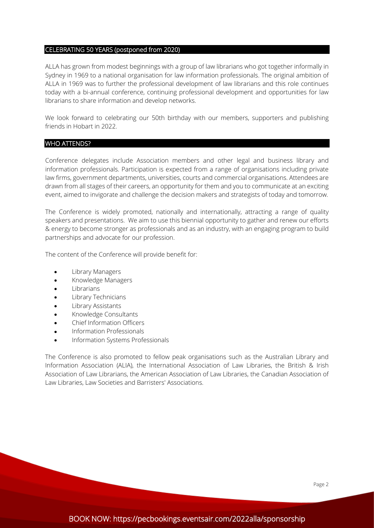#### CELEBRATING 50 YEARS (postponed from 2020)

ALLA has grown from modest beginnings with a group of law librarians who got together informally in Sydney in 1969 to a national organisation for law information professionals. The original ambition of ALLA in 1969 was to further the professional development of law librarians and this role continues today with a bi-annual conference, continuing professional development and opportunities for law librarians to share information and develop networks.

We look forward to celebrating our 50th birthday with our members, supporters and publishing friends in Hobart in 2022.

#### WHO ATTENDS?

Conference delegates include Association members and other legal and business library and information professionals. Participation is expected from a range of organisations including private law firms, government departments, universities, courts and commercial organisations. Attendees are drawn from all stages of their careers, an opportunity for them and you to communicate at an exciting event, aimed to invigorate and challenge the decision makers and strategists of today and tomorrow.

The Conference is widely promoted, nationally and internationally, attracting a range of quality speakers and presentations. We aim to use this biennial opportunity to gather and renew our efforts & energy to become stronger as professionals and as an industry, with an engaging program to build partnerships and advocate for our profession.

The content of the Conference will provide benefit for:

- Library Managers
- Knowledge Managers
- **Librarians**
- Library Technicians
- Library Assistants
- Knowledge Consultants
- Chief Information Officers
- Information Professionals
- Information Systems Professionals

The Conference is also promoted to fellow peak organisations such as the Australian Library and Information Association (ALIA), the International Association of Law Libraries, the British & Irish Association of Law Librarians, the American Association of Law Libraries, the Canadian Association of Law Libraries, Law Societies and Barristers' Associations.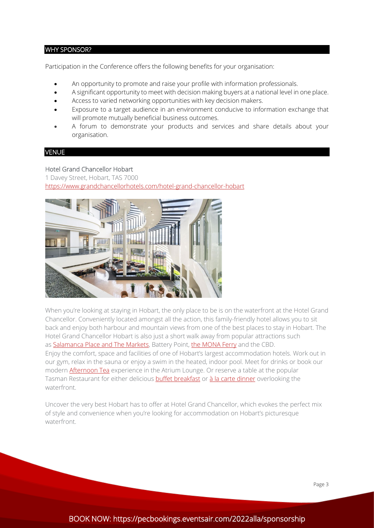## WHY SPONSOR?

Participation in the Conference offers the following benefits for your organisation:

- An opportunity to promote and raise your profile with information professionals.
- A significant opportunity to meet with decision making buyers at a national level in one place.
- Access to varied networking opportunities with key decision makers.
- Exposure to a target audience in an environment conducive to information exchange that will promote mutually beneficial business outcomes.
- A forum to demonstrate your products and services and share details about your organisation.

## VENUE

## Hotel Grand Chancellor Hobart

1 Davey Street, Hobart, TAS 7000 <https://www.grandchancellorhotels.com/hotel-grand-chancellor-hobart>



When you're looking at staying in Hobart, the only place to be is on the waterfront at the Hotel Grand Chancellor. Conveniently located amongst all the action, this family-friendly hotel allows you to sit back and enjoy both harbour and mountain views from one of the best places to stay in Hobart. The Hotel Grand Chancellor Hobart is also just a short walk away from popular attractions such as [Salamanca Place and](https://www.grandchancellorhotels.com/hotel-grand-chancellor-hobart/things-to-do-in-hobart/salamanca-market) The Markets, Battery Point, [the MONA Ferry](https://www.grandchancellorhotels.com/hotel-grand-chancellor-hobart/things-to-do-in-hobart/mona) and the CBD. Enjoy the comfort, space and facilities of one of Hobart's largest accommodation hotels. Work out in our gym, relax in the sauna or enjoy a swim in the heated, indoor pool. Meet for drinks or book our modern [Afternoon Tea](https://www.grandchancellorhotels.com/hotel-grand-chancellor-hobart/afternoon-tea-hobart) experience in the Atrium Lounge. Or reserve a table at the popular Tasman Restaurant for either delicious **[buffet breakfast](https://www.grandchancellorhotels.com/hotel-grand-chancellor-hobart/restaurant-bar/buffet-breakfast)** or [à la carte dinner](https://www.restauranttasman.com.au/menu/) overlooking the waterfront.

Uncover the very best Hobart has to offer at Hotel Grand Chancellor, which evokes the perfect mix of style and convenience when you're looking for accommodation on Hobart's picturesque waterfront.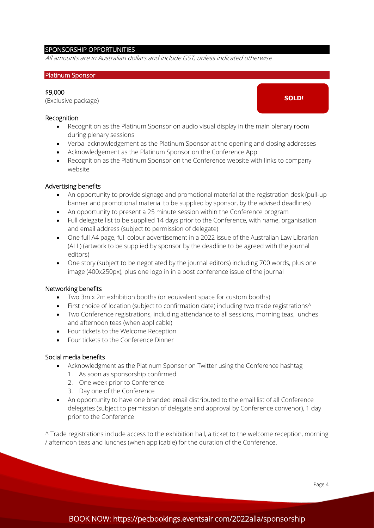## SPONSORSHIP OPPORTUNITIES

All amounts are in Australian dollars and include GST, unless indicated otherwise

#### Platinum Sponsor

## \$9,000

(Exclusive package)

#### Recognition

- Recognition as the Platinum Sponsor on audio visual display in the main plenary room during plenary sessions
- Verbal acknowledgement as the Platinum Sponsor at the opening and closing addresses
- Acknowledgement as the Platinum Sponsor on the Conference App
- Recognition as the Platinum Sponsor on the Conference website with links to company website

#### Advertising benefits

- An opportunity to provide signage and promotional material at the registration desk (pull-up banner and promotional material to be supplied by sponsor, by the advised deadlines)
- An opportunity to present a 25 minute session within the Conference program
- Full delegate list to be supplied 14 days prior to the Conference, with name, organisation and email address (subject to permission of delegate)
- One full A4 page, full colour advertisement in a 2022 issue of the Australian Law Librarian (ALL) (artwork to be supplied by sponsor by the deadline to be agreed with the journal editors)
- One story (subject to be negotiated by the journal editors) including 700 words, plus one image (400x250px), plus one logo in in a post conference issue of the journal

#### Networking benefits

- Two 3m x 2m exhibition booths (or equivalent space for custom booths)
- First choice of location (subject to confirmation date) including two trade registrations<sup>^</sup>
- Two Conference registrations, including attendance to all sessions, morning teas, lunches and afternoon teas (when applicable)
- Four tickets to the Welcome Reception
- Four tickets to the Conference Dinner

#### Social media benefits

- Acknowledgment as the Platinum Sponsor on Twitter using the Conference hashtag
	- 1. As soon as sponsorship confirmed
	- 2. One week prior to Conference
	- 3. Day one of the Conference
- An opportunity to have one branded email distributed to the email list of all Conference delegates (subject to permission of delegate and approval by Conference convenor), 1 day prior to the Conference

^ Trade registrations include access to the exhibition hall, a ticket to the welcome reception, morning / afternoon teas and lunches (when applicable) for the duration of the Conference.

**SOLD!**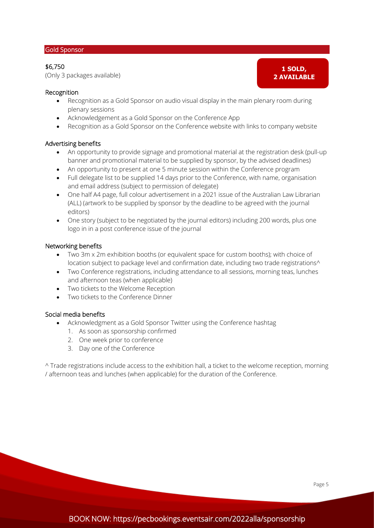#### Gold Sponsor

## \$6,750

(Only 3 packages available)

## Recognition

- Recognition as a Gold Sponsor on audio visual display in the main plenary room during plenary sessions
- Acknowledgement as a Gold Sponsor on the Conference App
- Recognition as a Gold Sponsor on the Conference website with links to company website

## Advertising benefits

- An opportunity to provide signage and promotional material at the registration desk (pull-up banner and promotional material to be supplied by sponsor, by the advised deadlines)
- An opportunity to present at one 5 minute session within the Conference program
- Full delegate list to be supplied 14 days prior to the Conference, with name, organisation and email address (subject to permission of delegate)
- One half A4 page, full colour advertisement in a 2021 issue of the Australian Law Librarian (ALL) (artwork to be supplied by sponsor by the deadline to be agreed with the journal editors)
- One story (subject to be negotiated by the journal editors) including 200 words, plus one logo in in a post conference issue of the journal

## Networking benefits

- Two 3m x 2m exhibition booths (or equivalent space for custom booths); with choice of location subject to package level and confirmation date, including two trade registrations^
- Two Conference registrations, including attendance to all sessions, morning teas, lunches and afternoon teas (when applicable)
- Two tickets to the Welcome Reception
- Two tickets to the Conference Dinner

### Social media benefits

- Acknowledgment as a Gold Sponsor Twitter using the Conference hashtag
	- 1. As soon as sponsorship confirmed
	- 2. One week prior to conference
	- 3. Day one of the Conference

^ Trade registrations include access to the exhibition hall, a ticket to the welcome reception, morning / afternoon teas and lunches (when applicable) for the duration of the Conference.

**1 SOLD, 2 AVAILABLE**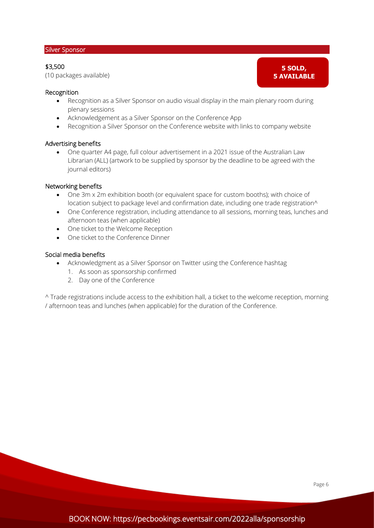#### Silver Sponsor

## \$3,500

(10 packages available)

**5 SOLD, 5 AVAILABLE**

#### Recognition

- Recognition as a Silver Sponsor on audio visual display in the main plenary room during plenary sessions
- Acknowledgement as a Silver Sponsor on the Conference App
- Recognition a Silver Sponsor on the Conference website with links to company website

## Advertising benefits

• One quarter A4 page, full colour advertisement in a 2021 issue of the Australian Law Librarian (ALL) (artwork to be supplied by sponsor by the deadline to be agreed with the journal editors)

#### Networking benefits

- One 3m x 2m exhibition booth (or equivalent space for custom booths); with choice of location subject to package level and confirmation date, including one trade registration^
- One Conference registration, including attendance to all sessions, morning teas, lunches and afternoon teas (when applicable)
- One ticket to the Welcome Reception
- One ticket to the Conference Dinner

#### Social media benefits

- Acknowledgment as a Silver Sponsor on Twitter using the Conference hashtag
	- 1. As soon as sponsorship confirmed
	- 2. Day one of the Conference

^ Trade registrations include access to the exhibition hall, a ticket to the welcome reception, morning / afternoon teas and lunches (when applicable) for the duration of the Conference.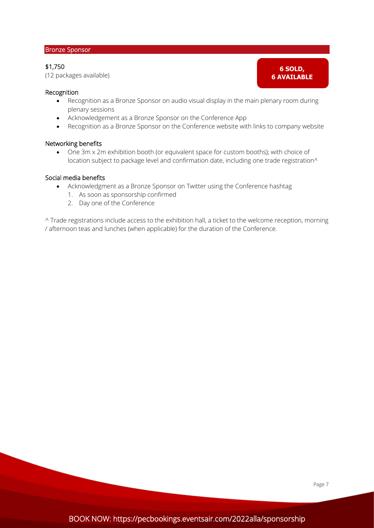## Bronze Sponsor

## \$1,750

(12 packages available)

## **6 SOLD, 6 AVAILABLE**

## Recognition

- Recognition as a Bronze Sponsor on audio visual display in the main plenary room during plenary sessions
- Acknowledgement as a Bronze Sponsor on the Conference App
- Recognition as a Bronze Sponsor on the Conference website with links to company website

## Networking benefits

• One 3m x 2m exhibition booth (or equivalent space for custom booths); with choice of location subject to package level and confirmation date, including one trade registration^

## Social media benefits

- Acknowledgment as a Bronze Sponsor on Twitter using the Conference hashtag
	- 1. As soon as sponsorship confirmed
	- 2. Day one of the Conference

^ Trade registrations include access to the exhibition hall, a ticket to the welcome reception, morning / afternoon teas and lunches (when applicable) for the duration of the Conference.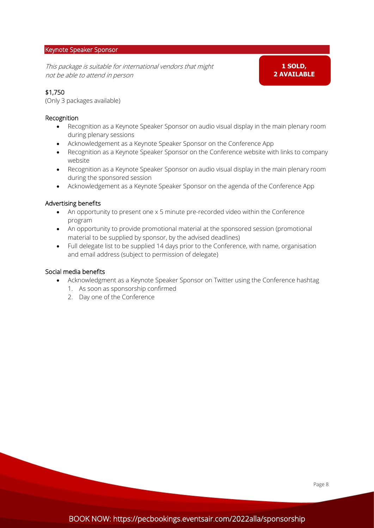## Keynote Speaker Sponsor

This package is suitable for international vendors that might not be able to attend in person

**1 SOLD, 2 AVAILABLE**

## \$1,750

(Only 3 packages available)

## Recognition

- Recognition as a Keynote Speaker Sponsor on audio visual display in the main plenary room during plenary sessions
- Acknowledgement as a Keynote Speaker Sponsor on the Conference App
- Recognition as a Keynote Speaker Sponsor on the Conference website with links to company website
- Recognition as a Keynote Speaker Sponsor on audio visual display in the main plenary room during the sponsored session
- Acknowledgement as a Keynote Speaker Sponsor on the agenda of the Conference App

## Advertising benefits

- An opportunity to present one x 5 minute pre-recorded video within the Conference program
- An opportunity to provide promotional material at the sponsored session (promotional material to be supplied by sponsor, by the advised deadlines)
- Full delegate list to be supplied 14 days prior to the Conference, with name, organisation and email address (subject to permission of delegate)

- Acknowledgment as a Keynote Speaker Sponsor on Twitter using the Conference hashtag
	- 1. As soon as sponsorship confirmed
	- 2. Day one of the Conference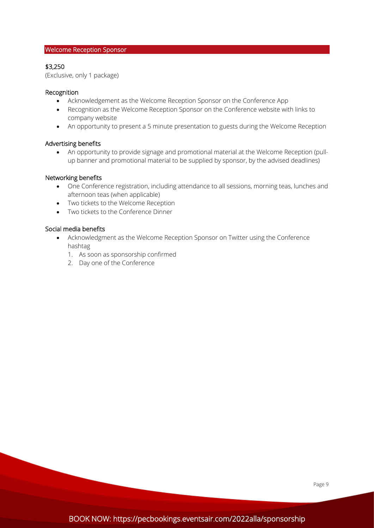## Welcome Reception Sponsor

## \$3,250

(Exclusive, only 1 package)

## Recognition

- Acknowledgement as the Welcome Reception Sponsor on the Conference App
- Recognition as the Welcome Reception Sponsor on the Conference website with links to company website
- An opportunity to present a 5 minute presentation to guests during the Welcome Reception

## Advertising benefits

• An opportunity to provide signage and promotional material at the Welcome Reception (pullup banner and promotional material to be supplied by sponsor, by the advised deadlines)

## Networking benefits

- One Conference registration, including attendance to all sessions, morning teas, lunches and afternoon teas (when applicable)
- Two tickets to the Welcome Reception
- Two tickets to the Conference Dinner

- Acknowledgment as the Welcome Reception Sponsor on Twitter using the Conference hashtag
	- 1. As soon as sponsorship confirmed
	- 2. Day one of the Conference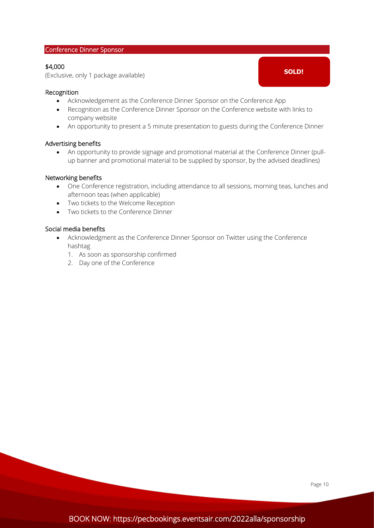#### Conference Dinner Sponsor

## \$4,000

(Exclusive, only 1 package available)

## Recognition

- Acknowledgement as the Conference Dinner Sponsor on the Conference App
- Recognition as the Conference Dinner Sponsor on the Conference website with links to company website
- An opportunity to present a 5 minute presentation to guests during the Conference Dinner

#### Advertising benefits

• An opportunity to provide signage and promotional material at the Conference Dinner (pullup banner and promotional material to be supplied by sponsor, by the advised deadlines)

#### Networking benefits

- One Conference registration, including attendance to all sessions, morning teas, lunches and afternoon teas (when applicable)
- Two tickets to the Welcome Reception
- Two tickets to the Conference Dinner

## Social media benefits

- Acknowledgment as the Conference Dinner Sponsor on Twitter using the Conference hashtag
	- 1. As soon as sponsorship confirmed
	- 2. Day one of the Conference

**SOLD!**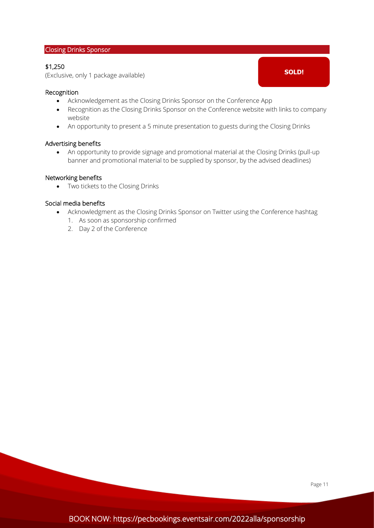## Closing Drinks Sponsor

## \$1,250

(Exclusive, only 1 package available)

## Recognition

- Acknowledgement as the Closing Drinks Sponsor on the Conference App
- Recognition as the Closing Drinks Sponsor on the Conference website with links to company website
- An opportunity to present a 5 minute presentation to guests during the Closing Drinks

#### Advertising benefits

• An opportunity to provide signage and promotional material at the Closing Drinks (pull-up banner and promotional material to be supplied by sponsor, by the advised deadlines)

#### Networking benefits

• Two tickets to the Closing Drinks

- Acknowledgment as the Closing Drinks Sponsor on Twitter using the Conference hashtag
	- 1. As soon as sponsorship confirmed
	- 2. Day 2 of the Conference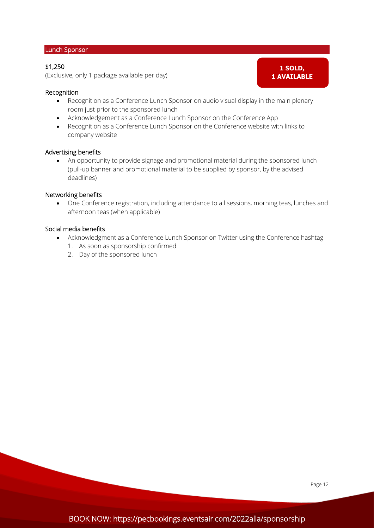#### Lunch Sponsor

## \$1,250

(Exclusive, only 1 package available per day)

## Recognition

- Recognition as a Conference Lunch Sponsor on audio visual display in the main plenary room just prior to the sponsored lunch
- Acknowledgement as a Conference Lunch Sponsor on the Conference App
- Recognition as a Conference Lunch Sponsor on the Conference website with links to company website

## Advertising benefits

• An opportunity to provide signage and promotional material during the sponsored lunch (pull-up banner and promotional material to be supplied by sponsor, by the advised deadlines)

#### Networking benefits

• One Conference registration, including attendance to all sessions, morning teas, lunches and afternoon teas (when applicable)

#### Social media benefits

- Acknowledgment as a Conference Lunch Sponsor on Twitter using the Conference hashtag
	- 1. As soon as sponsorship confirmed
	- 2. Day of the sponsored lunch

**1 SOLD, 1 AVAILABLE**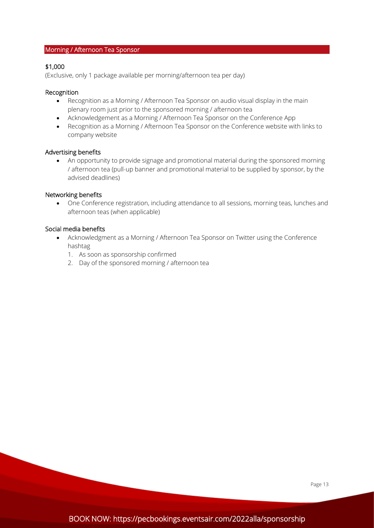## Morning / Afternoon Tea Sponsor

## \$1,000

(Exclusive, only 1 package available per morning/afternoon tea per day)

## Recognition

- Recognition as a Morning / Afternoon Tea Sponsor on audio visual display in the main plenary room just prior to the sponsored morning / afternoon tea
- Acknowledgement as a Morning / Afternoon Tea Sponsor on the Conference App
- Recognition as a Morning / Afternoon Tea Sponsor on the Conference website with links to company website

#### Advertising benefits

• An opportunity to provide signage and promotional material during the sponsored morning / afternoon tea (pull-up banner and promotional material to be supplied by sponsor, by the advised deadlines)

#### Networking benefits

• One Conference registration, including attendance to all sessions, morning teas, lunches and afternoon teas (when applicable)

## Social media benefits

í

- Acknowledgment as a Morning / Afternoon Tea Sponsor on Twitter using the Conference hashtag
	- 1. As soon as sponsorship confirmed
	- 2. Day of the sponsored morning / afternoon tea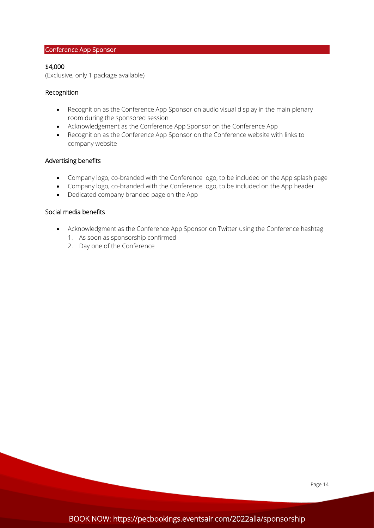## Conference App Sponsor

## \$4,000

(Exclusive, only 1 package available)

## Recognition

- Recognition as the Conference App Sponsor on audio visual display in the main plenary room during the sponsored session
- Acknowledgement as the Conference App Sponsor on the Conference App
- Recognition as the Conference App Sponsor on the Conference website with links to company website

## Advertising benefits

- Company logo, co-branded with the Conference logo, to be included on the App splash page
- Company logo, co-branded with the Conference logo, to be included on the App header
- Dedicated company branded page on the App

- Acknowledgment as the Conference App Sponsor on Twitter using the Conference hashtag
	- 1. As soon as sponsorship confirmed
	- 2. Day one of the Conference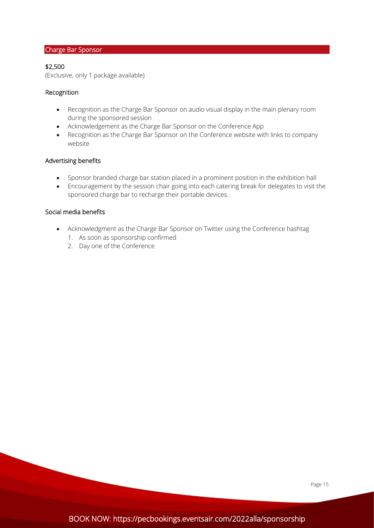## Charge Bar Sponsor

## \$2,500

(Exclusive, only 1 package available)

## Recognition

- Recognition as the Charge Bar Sponsor on audio visual display in the main plenary room during the sponsored session
- Acknowledgement as the Charge Bar Sponsor on the Conference App
- Recognition as the Charge Bar Sponsor on the Conference website with links to company website

## Advertising benefits

- Sponsor branded charge bar station placed in a prominent position in the exhibition hall
- Encouragement by the session chair going into each catering break for delegates to visit the sponsored charge bar to recharge their portable devices.

- Acknowledgment as the Charge Bar Sponsor on Twitter using the Conference hashtag
	- 1. As soon as sponsorship confirmed
	- 2. Day one of the Conference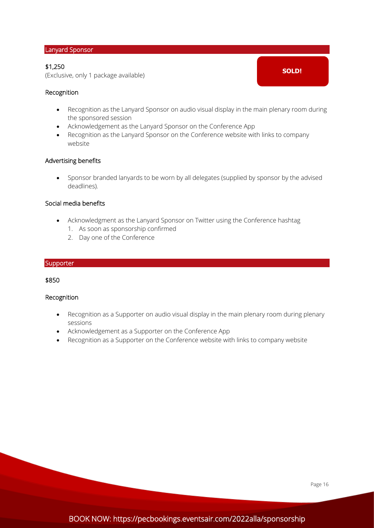#### Lanyard Sponsor

## \$1,250

(Exclusive, only 1 package available)

## Recognition

• Recognition as the Lanyard Sponsor on audio visual display in the main plenary room during the sponsored session

**SOLD!**

- Acknowledgement as the Lanyard Sponsor on the Conference App
- Recognition as the Lanyard Sponsor on the Conference website with links to company website

## Advertising benefits

• Sponsor branded lanyards to be worn by all delegates (supplied by sponsor by the advised deadlines).

## Social media benefits

- Acknowledgment as the Lanyard Sponsor on Twitter using the Conference hashtag
	- 1. As soon as sponsorship confirmed
	- 2. Day one of the Conference

#### **Supporter**

## \$850

#### Recognition

- Recognition as a Supporter on audio visual display in the main plenary room during plenary sessions
- Acknowledgement as a Supporter on the Conference App
- Recognition as a Supporter on the Conference website with links to company website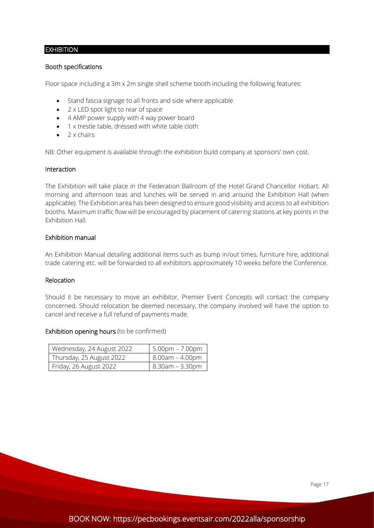## **EXHIBITION**

## Booth specifications

Floor space including a 3m x 2m single shell scheme booth including the following features:

- Stand fascia signage to all fronts and side where applicable
- 2 x LED spot light to rear of space
- 4 AMP power supply with 4 way power board
- 1 x trestle table, dressed with white table cloth
- $\bullet$  2 x chairs

NB: Other equipment is available through the exhibition build company at sponsors' own cost.

## Interaction

The Exhibition will take place in the Federation Ballroom of the Hotel Grand Chancellor Hobart. All morning and afternoon teas and lunches will be served in and around the Exhibition Hall (when applicable). The Exhibition area has been designed to ensure good visibility and access to all exhibition booths. Maximum traffic flow will be encouraged by placement of catering stations at key points in the Exhibition Hall.

## Exhibition manual

An Exhibition Manual detailing additional items such as bump in/out times, furniture hire, additional trade catering etc. will be forwarded to all exhibitors approximately 10 weeks before the Conference.

#### Relocation

í

Should it be necessary to move an exhibitor, Premier Event Concepts will contact the company concerned. Should relocation be deemed necessary, the company involved will have the option to cancel and receive a full refund of payments made.

#### Exhibition opening hours (to be confirmed)

| Wednesday, 24 August 2022 | $5.00$ pm – $7.00$ pm |
|---------------------------|-----------------------|
| Thursday, 25 August 2022  | $8.00$ am – 4.00pm    |
| Friday, 26 August 2022    | 8.30am – 3.30pm       |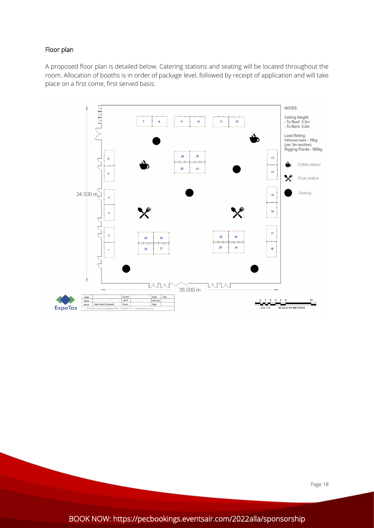## Floor plan

l

A proposed floor plan is detailed below. Catering stations and seating will be located throughout the room. Allocation of booths is in order of package level, followed by receipt of application and will take place on a first come, first served basis.